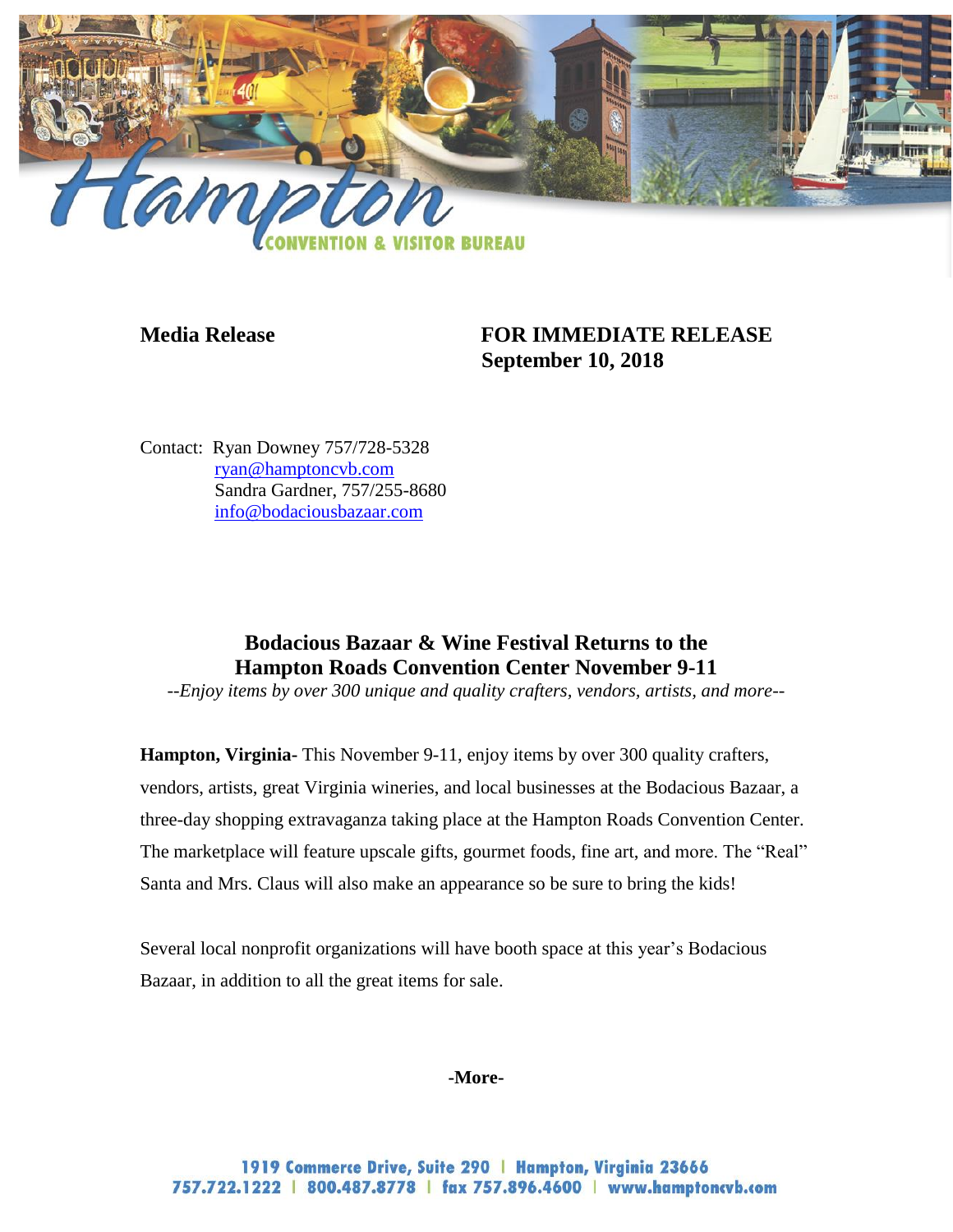

## **Media Release FOR IMMEDIATE RELEASE September 10, 2018**

Contact: Ryan Downey 757/728-5328 [ryan@hamptoncvb.com](mailto:ryan@hamptoncvb.com) Sandra Gardner, 757/255-8680 [info@bodaciousbazaar.com](mailto:info@bodaciousbazaar.com) 

# **Bodacious Bazaar & Wine Festival Returns to the Hampton Roads Convention Center November 9-11**

*--Enjoy items by over 300 unique and quality crafters, vendors, artists, and more--*

**Hampton, Virginia-** This November 9-11, enjoy items by over 300 quality crafters, vendors, artists, great Virginia wineries, and local businesses at the Bodacious Bazaar, a three-day shopping extravaganza taking place at the Hampton Roads Convention Center. The marketplace will feature upscale gifts, gourmet foods, fine art, and more. The "Real" Santa and Mrs. Claus will also make an appearance so be sure to bring the kids!

Several local nonprofit organizations will have booth space at this year's Bodacious Bazaar, in addition to all the great items for sale.

### **-More-**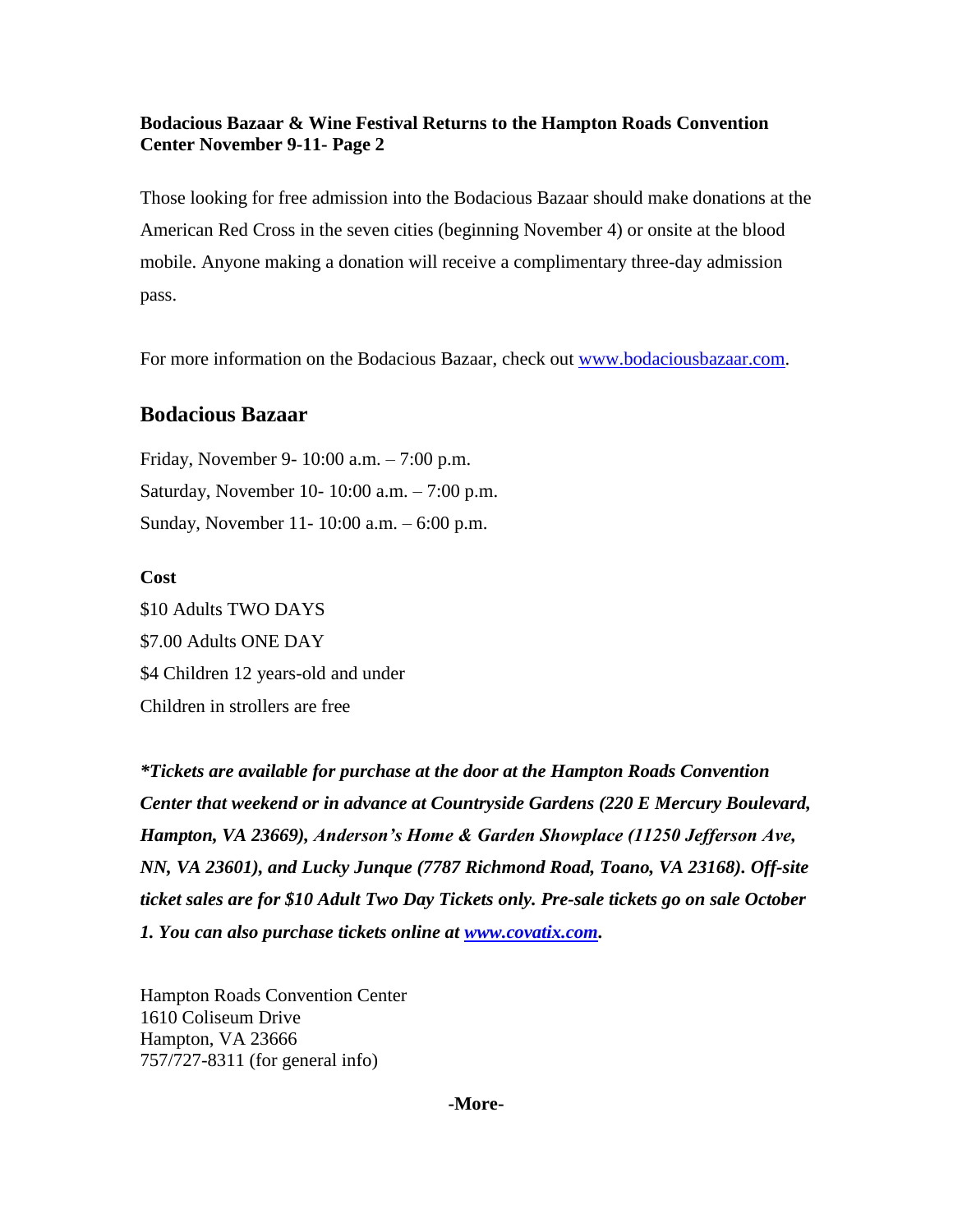### **Bodacious Bazaar & Wine Festival Returns to the Hampton Roads Convention Center November 9-11- Page 2**

Those looking for free admission into the Bodacious Bazaar should make donations at the American Red Cross in the seven cities (beginning November 4) or onsite at the blood mobile. Anyone making a donation will receive a complimentary three-day admission pass.

For more information on the Bodacious Bazaar, check out [www.bodaciousbazaar.com.](http://www.bodaciousbazaar.com/)

### **Bodacious Bazaar**

Friday, November 9- 10:00 a.m. – 7:00 p.m. Saturday, November 10- 10:00 a.m. – 7:00 p.m. Sunday, November 11- 10:00 a.m. – 6:00 p.m.

### **Cost**

\$10 Adults TWO DAYS \$7.00 Adults ONE DAY \$4 Children 12 years-old and under Children in strollers are free

*\*Tickets are available for purchase at the door at the Hampton Roads Convention Center that weekend or in advance at Countryside Gardens (220 E Mercury Boulevard, Hampton, VA 23669), Anderson's Home & Garden Showplace (11250 Jefferson Ave, NN, VA 23601), and Lucky Junque (7787 Richmond Road, Toano, VA 23168). Off-site ticket sales are for \$10 Adult Two Day Tickets only. Pre-sale tickets go on sale October 1. You can also purchase tickets online at [www.covatix.com.](http://www.covatix.com/)* 

Hampton Roads Convention Center 1610 Coliseum Drive Hampton, VA 23666 757/727-8311 (for general info)

**-More-**